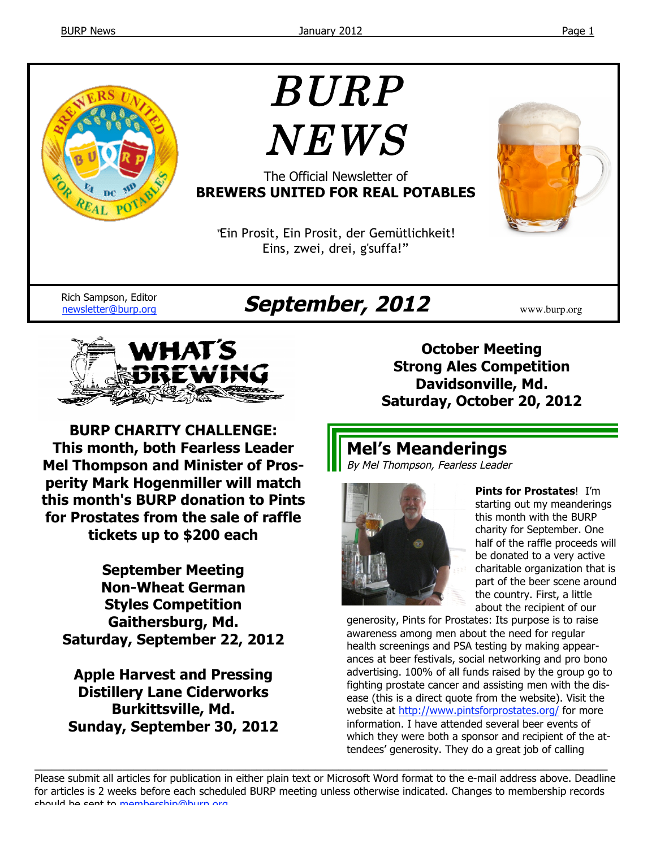

# BURP NEWS

The Official Newsletter of **BREWERS UNITED FOR REAL POTABLES**

"Ein Prosit, Ein Prosit, der Gemütlichkeit! Eins, zwei, drei, g'suffa!"



Rich Sampson, Editor

# Rich Sampson, Editor **September, 2012** WWW.burp.org



**BURP CHARITY CHALLENGE: This month, both Fearless Leader Mel Thompson and Minister of Prosperity Mark Hogenmiller will match this month's BURP donation to Pints for Prostates from the sale of raffle tickets up to \$200 each**

**September Meeting Non-Wheat German Styles Competition Gaithersburg, Md. Saturday, September 22, 2012**

**Apple Harvest and Pressing Distillery Lane Ciderworks Burkittsville, Md. Sunday, September 30, 2012**

**October Meeting Strong Ales Competition Davidsonville, Md. Saturday, October 20, 2012**

# **Mel's Meanderings** By Mel Thompson, Fearless Leader



**Pints for Prostates**! I'm starting out my meanderings this month with the BURP charity for September. One half of the raffle proceeds will be donated to a very active charitable organization that is part of the beer scene around the country. First, a little about the recipient of our

generosity, Pints for Prostates: Its purpose is to raise awareness among men about the need for regular health screenings and PSA testing by making appearances at beer festivals, social networking and pro bono advertising. 100% of all funds raised by the group go to fighting prostate cancer and assisting men with the disease (this is a direct quote from the website). Visit the website at http://www.pintsforprostates.org/ for more information. I have attended several beer events of which they were both a sponsor and recipient of the attendees' generosity. They do a great job of calling

Please submit all articles for publication in either plain text or Microsoft Word format to the e-mail address above. Deadline for articles is 2 weeks before each scheduled BURP meeting unless otherwise indicated. Changes to membership records should be sent to membership@burp.org.

 $\_$  ,  $\_$  ,  $\_$  ,  $\_$  ,  $\_$  ,  $\_$  ,  $\_$  ,  $\_$  ,  $\_$  ,  $\_$  ,  $\_$  ,  $\_$  ,  $\_$  ,  $\_$  ,  $\_$  ,  $\_$  ,  $\_$  ,  $\_$  ,  $\_$  ,  $\_$  ,  $\_$  ,  $\_$  ,  $\_$  ,  $\_$  ,  $\_$  ,  $\_$  ,  $\_$  ,  $\_$  ,  $\_$  ,  $\_$  ,  $\_$  ,  $\_$  ,  $\_$  ,  $\_$  ,  $\_$  ,  $\_$  ,  $\_$  ,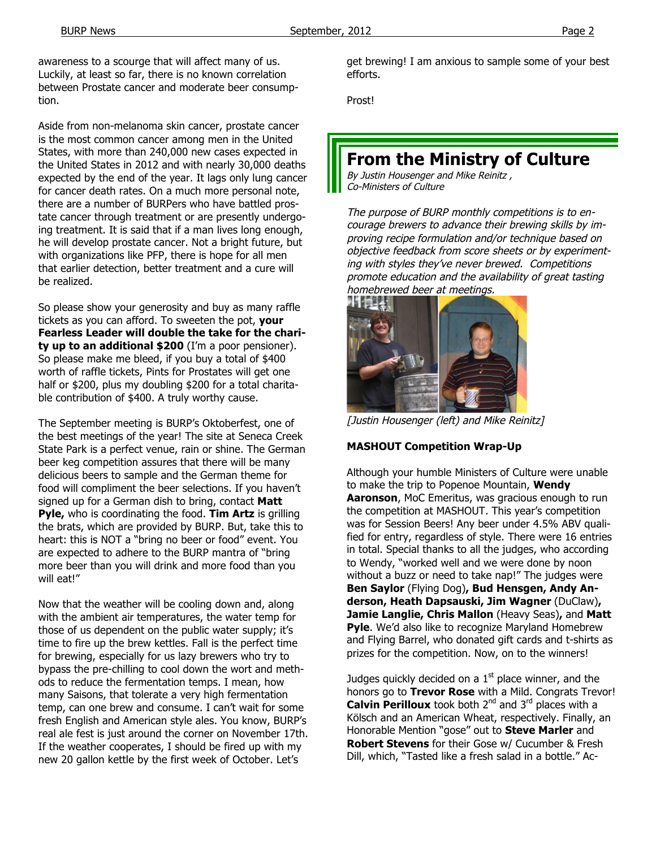awareness to a scourge that will affect many of us. Luckily, at least so far, there is no known correlation between Prostate cancer and moderate beer consumption.

Aside from non-melanoma skin cancer, prostate cancer is the most common cancer among men in the United States, with more than 240,000 new cases expected in the United States in 2012 and with nearly 30,000 deaths expected by the end of the year. It lags only lung cancer for cancer death rates. On a much more personal note, there are a number of BURPers who have battled prostate cancer through treatment or are presently undergoing treatment. It is said that if a man lives long enough, he will develop prostate cancer. Not a bright future, but with organizations like PFP, there is hope for all men that earlier detection, better treatment and a cure will be realized.

So please show your generosity and buy as many raffle tickets as you can afford. To sweeten the pot, **your Fearless Leader will double the take for the charity up to an additional \$200** (I'm a poor pensioner). So please make me bleed, if you buy a total of \$400 worth of raffle tickets, Pints for Prostates will get one half or \$200, plus my doubling \$200 for a total charitable contribution of \$400. A truly worthy cause.

The September meeting is BURP's Oktoberfest, one of the best meetings of the year! The site at Seneca Creek State Park is a perfect venue, rain or shine. The German beer keg competition assures that there will be many delicious beers to sample and the German theme for food will compliment the beer selections. If you haven't signed up for a German dish to bring, contact **Matt Pyle,** who is coordinating the food. **Tim Artz** is grilling the brats, which are provided by BURP. But, take this to heart: this is NOT a "bring no beer or food" event. You are expected to adhere to the BURP mantra of "bring more beer than you will drink and more food than you will eat!"

Now that the weather will be cooling down and, along with the ambient air temperatures, the water temp for those of us dependent on the public water supply; it's time to fire up the brew kettles. Fall is the perfect time for brewing, especially for us lazy brewers who try to bypass the pre-chilling to cool down the wort and methods to reduce the fermentation temps. I mean, how many Saisons, that tolerate a very high fermentation temp, can one brew and consume. I can't wait for some fresh English and American style ales. You know, BURP's real ale fest is just around the corner on November 17th. If the weather cooperates, I should be fired up with my new 20 gallon kettle by the first week of October. Let's

get brewing! I am anxious to sample some of your best efforts.

Prost!

# **From the Ministry of Culture**

By Justin Housenger and Mike Reinitz , Co-Ministers of Culture

The purpose of BURP monthly competitions is to encourage brewers to advance their brewing skills by improving recipe formulation and/or technique based on objective feedback from score sheets or by experimenting with styles they've never brewed. Competitions promote education and the availability of great tasting homebrewed beer at meetings.



[Justin Housenger (left) and Mike Reinitz]

## **MASHOUT Competition Wrap-Up**

Although your humble Ministers of Culture were unable to make the trip to Popenoe Mountain, **Wendy Aaronson**, MoC Emeritus, was gracious enough to run the competition at MASHOUT. This year's competition was for Session Beers! Any beer under 4.5% ABV qualified for entry, regardless of style. There were 16 entries in total. Special thanks to all the judges, who according to Wendy, "worked well and we were done by noon without a buzz or need to take nap!" The judges were **Ben Saylor** (Flying Dog)**, Bud Hensgen, Andy Anderson, Heath Dapsauski, Jim Wagner** (DuClaw)**, Jamie Langlie, Chris Mallon** (Heavy Seas)**,** and **Matt Pyle**. We'd also like to recognize Maryland Homebrew and Flying Barrel, who donated gift cards and t-shirts as prizes for the competition. Now, on to the winners!

Judges quickly decided on a  $1<sup>st</sup>$  place winner, and the honors go to **Trevor Rose** with a Mild. Congrats Trevor! **Calvin Perilloux** took both 2<sup>nd</sup> and 3<sup>rd</sup> places with a Kölsch and an American Wheat, respectively. Finally, an Honorable Mention "gose" out to **Steve Marler** and **Robert Stevens** for their Gose w/ Cucumber & Fresh Dill, which, "Tasted like a fresh salad in a bottle." Ac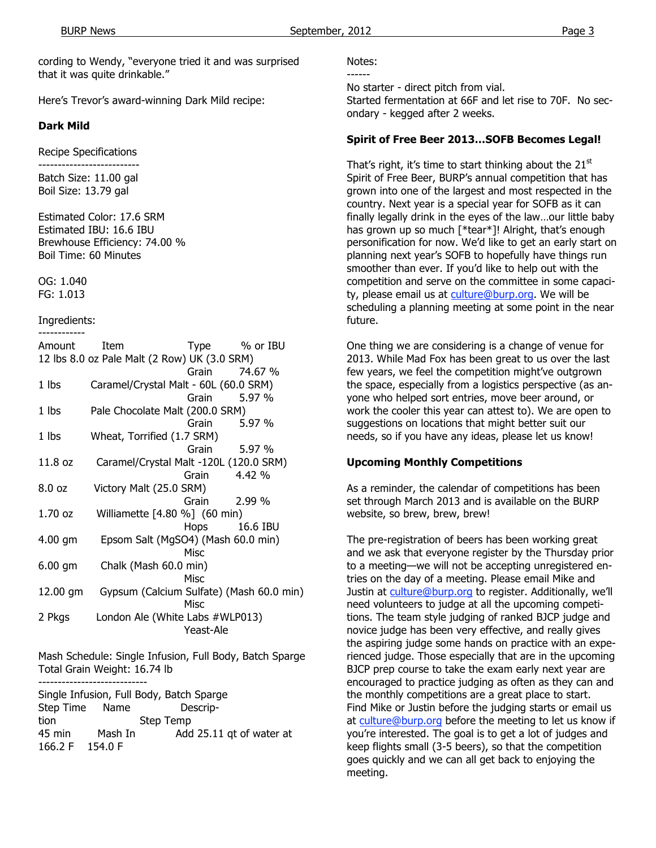cording to Wendy, "everyone tried it and was surprised that it was quite drinkable."

Here's Trevor's award-winning Dark Mild recipe:

### **Dark Mild**

Recipe Specifications

-------------------------- Batch Size: 11.00 gal Boil Size: 13.79 gal

Estimated Color: 17.6 SRM Estimated IBU: 16.6 IBU Brewhouse Efficiency: 74.00 % Boil Time: 60 Minutes

OG: 1.040 FG: 1.013

#### Ingredients:

| Amount                                       | Item                                   |             | Type % or IBU                            |  |
|----------------------------------------------|----------------------------------------|-------------|------------------------------------------|--|
| 12 lbs 8.0 oz Pale Malt (2 Row) UK (3.0 SRM) |                                        |             |                                          |  |
|                                              |                                        |             | Grain 74.67 %                            |  |
| 1 lbs                                        | Caramel/Crystal Malt - 60L (60.0 SRM)  |             |                                          |  |
|                                              |                                        |             | Grain 5.97 %                             |  |
| 1 lbs                                        | Pale Chocolate Malt (200.0 SRM)        |             |                                          |  |
|                                              |                                        | Grain       | 5.97 %                                   |  |
| 1 lbs                                        | Wheat, Torrified (1.7 SRM)             |             |                                          |  |
|                                              |                                        | Grain       | 5.97 %                                   |  |
| 11.8 oz                                      | Caramel/Crystal Malt -120L (120.0 SRM) |             |                                          |  |
|                                              |                                        |             | Grain 4.42 %                             |  |
| 8.0 oz                                       | Victory Malt (25.0 SRM)                |             |                                          |  |
|                                              |                                        | Grain       | 2.99 %                                   |  |
| 1.70 oz                                      | Williamette [4.80 %] (60 min)          |             |                                          |  |
|                                              |                                        |             | Hops 16.6 IBU                            |  |
| 4.00 gm                                      | Epsom Salt (MgSO4) (Mash 60.0 min)     |             |                                          |  |
|                                              |                                        | Misc        |                                          |  |
| $6.00$ gm                                    | Chalk (Mash 60.0 min)                  |             |                                          |  |
|                                              |                                        | <b>Misc</b> |                                          |  |
| 12.00 gm                                     |                                        |             | Gypsum (Calcium Sulfate) (Mash 60.0 min) |  |
|                                              |                                        | Misc        |                                          |  |
| 2 Pkgs                                       | London Ale (White Labs #WLP013)        |             |                                          |  |
|                                              |                                        | Yeast-Ale   |                                          |  |

Mash Schedule: Single Infusion, Full Body, Batch Sparge Total Grain Weight: 16.74 lb

---------------------------- Single Infusion, Full Body, Batch Sparge Step Time Name Description Step Temp 45 min Mash In Add 25.11 qt of water at 166.2 F 154.0 F

Notes:

------

No starter - direct pitch from vial.

Started fermentation at 66F and let rise to 70F. No secondary - kegged after 2 weeks.

#### **Spirit of Free Beer 2013…SOFB Becomes Legal!**

That's right, it's time to start thinking about the  $21<sup>st</sup>$ Spirit of Free Beer, BURP's annual competition that has grown into one of the largest and most respected in the country. Next year is a special year for SOFB as it can finally legally drink in the eyes of the law…our little baby has grown up so much [\*tear\*]! Alright, that's enough personification for now. We'd like to get an early start on planning next year's SOFB to hopefully have things run smoother than ever. If you'd like to help out with the competition and serve on the committee in some capacity, please email us at culture@burp.org. We will be scheduling a planning meeting at some point in the near future.

One thing we are considering is a change of venue for 2013. While Mad Fox has been great to us over the last few years, we feel the competition might've outgrown the space, especially from a logistics perspective (as anyone who helped sort entries, move beer around, or work the cooler this year can attest to). We are open to suggestions on locations that might better suit our needs, so if you have any ideas, please let us know!

## **Upcoming Monthly Competitions**

As a reminder, the calendar of competitions has been set through March 2013 and is available on the BURP website, so brew, brew, brew!

The pre-registration of beers has been working great and we ask that everyone register by the Thursday prior to a meeting—we will not be accepting unregistered entries on the day of a meeting. Please email Mike and Justin at culture@burp.org to register. Additionally, we'll need volunteers to judge at all the upcoming competitions. The team style judging of ranked BJCP judge and novice judge has been very effective, and really gives the aspiring judge some hands on practice with an experienced judge. Those especially that are in the upcoming BJCP prep course to take the exam early next year are encouraged to practice judging as often as they can and the monthly competitions are a great place to start. Find Mike or Justin before the judging starts or email us at culture@burp.org before the meeting to let us know if you're interested. The goal is to get a lot of judges and keep flights small (3-5 beers), so that the competition goes quickly and we can all get back to enjoying the meeting.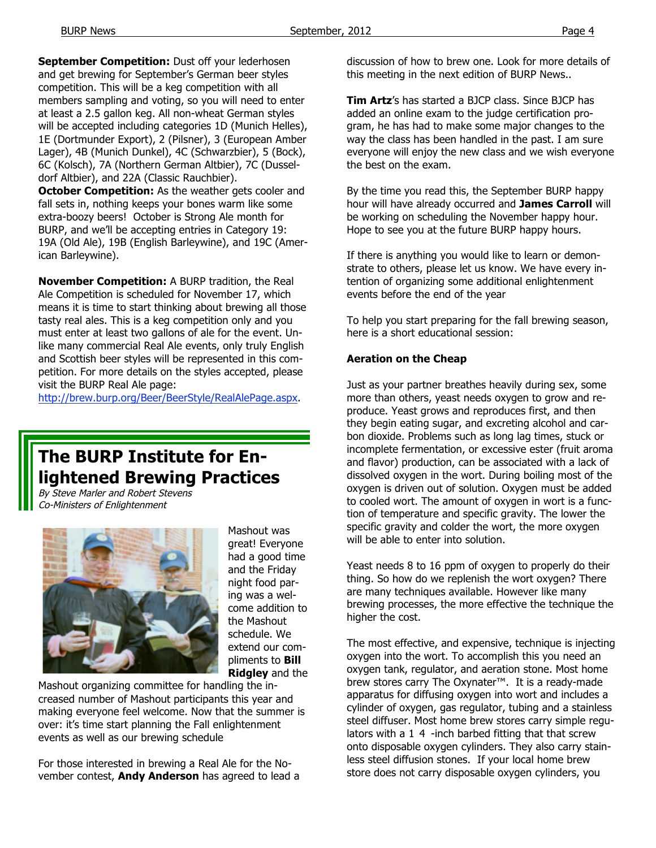**September Competition:** Dust off your lederhosen and get brewing for September's German beer styles competition. This will be a keg competition with all members sampling and voting, so you will need to enter at least a 2.5 gallon keg. All non-wheat German styles will be accepted including categories 1D (Munich Helles), 1E (Dortmunder Export), 2 (Pilsner), 3 (European Amber Lager), 4B (Munich Dunkel), 4C (Schwarzbier), 5 (Bock), 6C (Kolsch), 7A (Northern German Altbier), 7C (Dusseldorf Altbier), and 22A (Classic Rauchbier). **October Competition:** As the weather gets cooler and

fall sets in, nothing keeps your bones warm like some extra-boozy beers! October is Strong Ale month for BURP, and we'll be accepting entries in Category 19: 19A (Old Ale), 19B (English Barleywine), and 19C (American Barleywine).

**November Competition:** A BURP tradition, the Real Ale Competition is scheduled for November 17, which means it is time to start thinking about brewing all those tasty real ales. This is a keg competition only and you must enter at least two gallons of ale for the event. Unlike many commercial Real Ale events, only truly English and Scottish beer styles will be represented in this competition. For more details on the styles accepted, please visit the BURP Real Ale page:

http://brew.burp.org/Beer/BeerStyle/RealAlePage.aspx.

# **The BURP Institute for Enlightened Brewing Practices**

By Steve Marler and Robert Stevens Co-Ministers of Enlightenment



Mashout was great! Everyone had a good time and the Friday night food paring was a welcome addition to the Mashout schedule. We extend our compliments to **Bill Ridgley** and the

Mashout organizing committee for handling the increased number of Mashout participants this year and making everyone feel welcome. Now that the summer is over: it's time start planning the Fall enlightenment events as well as our brewing schedule

For those interested in brewing a Real Ale for the November contest, **Andy Anderson** has agreed to lead a

discussion of how to brew one. Look for more details of this meeting in the next edition of BURP News..

**Tim Artz**'s has started a BJCP class. Since BJCP has added an online exam to the judge certification program, he has had to make some major changes to the way the class has been handled in the past. I am sure everyone will enjoy the new class and we wish everyone the best on the exam.

By the time you read this, the September BURP happy hour will have already occurred and **James Carroll** will be working on scheduling the November happy hour. Hope to see you at the future BURP happy hours.

If there is anything you would like to learn or demonstrate to others, please let us know. We have every intention of organizing some additional enlightenment events before the end of the year

To help you start preparing for the fall brewing season, here is a short educational session:

#### **Aeration on the Cheap**

Just as your partner breathes heavily during sex, some more than others, yeast needs oxygen to grow and reproduce. Yeast grows and reproduces first, and then they begin eating sugar, and excreting alcohol and carbon dioxide. Problems such as long lag times, stuck or incomplete fermentation, or excessive ester (fruit aroma and flavor) production, can be associated with a lack of dissolved oxygen in the wort. During boiling most of the oxygen is driven out of solution. Oxygen must be added to cooled wort. The amount of oxygen in wort is a function of temperature and specific gravity. The lower the specific gravity and colder the wort, the more oxygen will be able to enter into solution.

Yeast needs 8 to 16 ppm of oxygen to properly do their thing. So how do we replenish the wort oxygen? There are many techniques available. However like many brewing processes, the more effective the technique the higher the cost.

The most effective, and expensive, technique is injecting oxygen into the wort. To accomplish this you need an oxygen tank, regulator, and aeration stone. Most home brew stores carry The Oxynater™. It is a ready-made apparatus for diffusing oxygen into wort and includes a cylinder of oxygen, gas regulator, tubing and a stainless steel diffuser. Most home brew stores carry simple regulators with a 1 4 -inch barbed fitting that that screw onto disposable oxygen cylinders. They also carry stainless steel diffusion stones. If your local home brew store does not carry disposable oxygen cylinders, you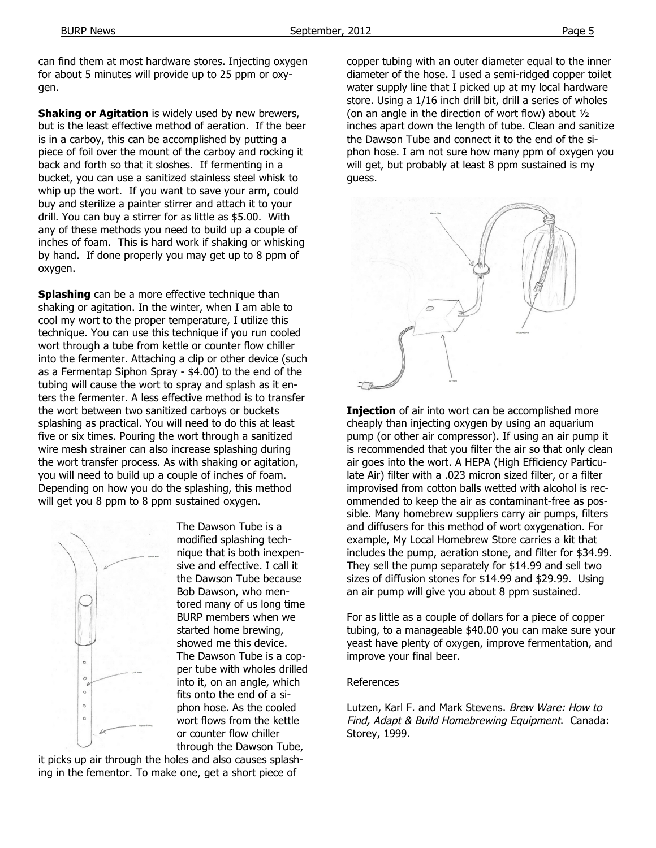can find them at most hardware stores. Injecting oxygen for about 5 minutes will provide up to 25 ppm or oxygen.

**Shaking or Agitation** is widely used by new brewers, but is the least effective method of aeration. If the beer is in a carboy, this can be accomplished by putting a piece of foil over the mount of the carboy and rocking it back and forth so that it sloshes. If fermenting in a bucket, you can use a sanitized stainless steel whisk to whip up the wort. If you want to save your arm, could buy and sterilize a painter stirrer and attach it to your drill. You can buy a stirrer for as little as \$5.00. With any of these methods you need to build up a couple of inches of foam. This is hard work if shaking or whisking by hand. If done properly you may get up to 8 ppm of oxygen.

**Splashing** can be a more effective technique than shaking or agitation. In the winter, when I am able to cool my wort to the proper temperature, I utilize this technique. You can use this technique if you run cooled wort through a tube from kettle or counter flow chiller into the fermenter. Attaching a clip or other device (such as a Fermentap Siphon Spray - \$4.00) to the end of the tubing will cause the wort to spray and splash as it enters the fermenter. A less effective method is to transfer the wort between two sanitized carboys or buckets splashing as practical. You will need to do this at least five or six times. Pouring the wort through a sanitized wire mesh strainer can also increase splashing during the wort transfer process. As with shaking or agitation, you will need to build up a couple of inches of foam. Depending on how you do the splashing, this method will get you 8 ppm to 8 ppm sustained oxygen.



The Dawson Tube is a modified splashing technique that is both inexpensive and effective. I call it the Dawson Tube because Bob Dawson, who mentored many of us long time BURP members when we started home brewing, showed me this device. The Dawson Tube is a copper tube with wholes drilled into it, on an angle, which fits onto the end of a siphon hose. As the cooled wort flows from the kettle or counter flow chiller through the Dawson Tube,

it picks up air through the holes and also causes splashing in the fementor. To make one, get a short piece of

copper tubing with an outer diameter equal to the inner diameter of the hose. I used a semi-ridged copper toilet water supply line that I picked up at my local hardware store. Using a 1/16 inch drill bit, drill a series of wholes (on an angle in the direction of wort flow) about ½ inches apart down the length of tube. Clean and sanitize the Dawson Tube and connect it to the end of the siphon hose. I am not sure how many ppm of oxygen you will get, but probably at least 8 ppm sustained is my guess.



**Injection** of air into wort can be accomplished more cheaply than injecting oxygen by using an aquarium pump (or other air compressor). If using an air pump it is recommended that you filter the air so that only clean air goes into the wort. A HEPA (High Efficiency Particulate Air) filter with a .023 micron sized filter, or a filter improvised from cotton balls wetted with alcohol is recommended to keep the air as contaminant-free as possible. Many homebrew suppliers carry air pumps, filters and diffusers for this method of wort oxygenation. For example, My Local Homebrew Store carries a kit that includes the pump, aeration stone, and filter for \$34.99. They sell the pump separately for \$14.99 and sell two sizes of diffusion stones for \$14.99 and \$29.99. Using an air pump will give you about 8 ppm sustained.

For as little as a couple of dollars for a piece of copper tubing, to a manageable \$40.00 you can make sure your yeast have plenty of oxygen, improve fermentation, and improve your final beer.

#### References

Lutzen, Karl F. and Mark Stevens. Brew Ware: How to Find, Adapt & Build Homebrewing Equipment. Canada: Storey, 1999.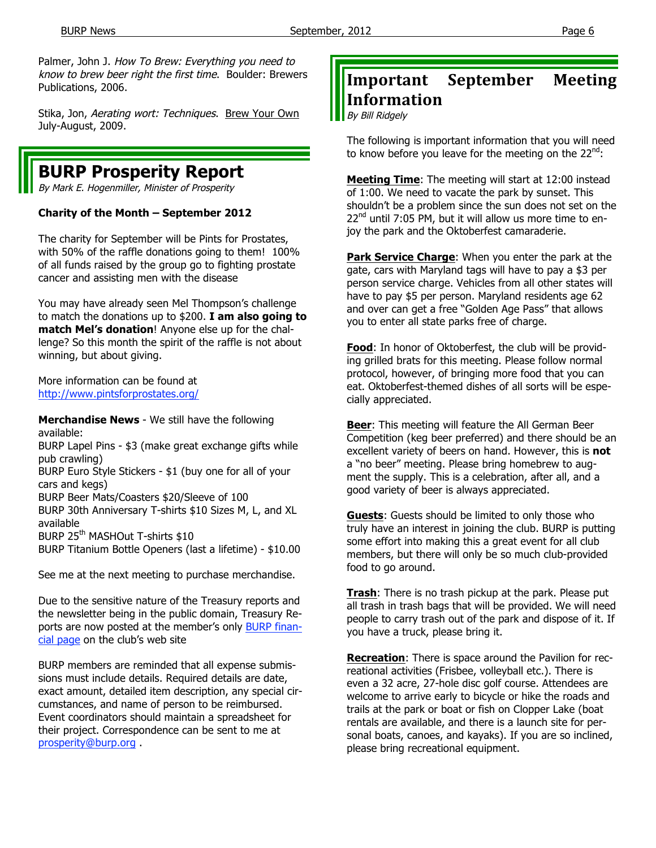Palmer, John J. How To Brew: Everything you need to know to brew beer right the first time. Boulder: Brewers Publications, 2006.

Stika, Jon, Aerating wort: Techniques. Brew Your Own July-August, 2009.

# **BURP Prosperity Report**

By Mark E. Hogenmiller, Minister of Prosperity

## **Charity of the Month – September 2012**

The charity for September will be Pints for Prostates, with 50% of the raffle donations going to them! 100% of all funds raised by the group go to fighting prostate cancer and assisting men with the disease

You may have already seen Mel Thompson's challenge to match the donations up to \$200. **I am also going to match Mel's donation**! Anyone else up for the challenge? So this month the spirit of the raffle is not about winning, but about giving.

More information can be found at http://www.pintsforprostates.org/

**Merchandise News** - We still have the following available:

BURP Lapel Pins - \$3 (make great exchange gifts while pub crawling)

BURP Euro Style Stickers - \$1 (buy one for all of your cars and kegs)

BURP Beer Mats/Coasters \$20/Sleeve of 100

BURP 30th Anniversary T-shirts \$10 Sizes M, L, and XL available

BURP 25<sup>th</sup> MASHOut T-shirts \$10

BURP Titanium Bottle Openers (last a lifetime) - \$10.00

See me at the next meeting to purchase merchandise.

Due to the sensitive nature of the Treasury reports and the newsletter being in the public domain, Treasury Reports are now posted at the member's only BURP financial page on the club's web site

BURP members are reminded that all expense submissions must include details. Required details are date, exact amount, detailed item description, any special circumstances, and name of person to be reimbursed. Event coordinators should maintain a spreadsheet for their project. Correspondence can be sent to me at prosperity@burp.org .

# **Important September Meeting Information**

By Bill Ridgely

The following is important information that you will need to know before you leave for the meeting on the  $22^{nd}$ :

**Meeting Time**: The meeting will start at 12:00 instead of 1:00. We need to vacate the park by sunset. This shouldn't be a problem since the sun does not set on the  $22<sup>nd</sup>$  until 7:05 PM, but it will allow us more time to enjoy the park and the Oktoberfest camaraderie.

**Park Service Charge**: When you enter the park at the gate, cars with Maryland tags will have to pay a \$3 per person service charge. Vehicles from all other states will have to pay \$5 per person. Maryland residents age 62 and over can get a free "Golden Age Pass" that allows you to enter all state parks free of charge.

**Food**: In honor of Oktoberfest, the club will be providing grilled brats for this meeting. Please follow normal protocol, however, of bringing more food that you can eat. Oktoberfest-themed dishes of all sorts will be especially appreciated.

**Beer**: This meeting will feature the All German Beer Competition (keg beer preferred) and there should be an excellent variety of beers on hand. However, this is **not** a "no beer" meeting. Please bring homebrew to augment the supply. This is a celebration, after all, and a good variety of beer is always appreciated.

**Guests**: Guests should be limited to only those who truly have an interest in joining the club. BURP is putting some effort into making this a great event for all club members, but there will only be so much club-provided food to go around.

**Trash**: There is no trash pickup at the park. Please put all trash in trash bags that will be provided. We will need people to carry trash out of the park and dispose of it. If you have a truck, please bring it.

**Recreation**: There is space around the Pavilion for recreational activities (Frisbee, volleyball etc.). There is even a 32 acre, 27-hole disc golf course. Attendees are welcome to arrive early to bicycle or hike the roads and trails at the park or boat or fish on Clopper Lake (boat rentals are available, and there is a launch site for personal boats, canoes, and kayaks). If you are so inclined, please bring recreational equipment.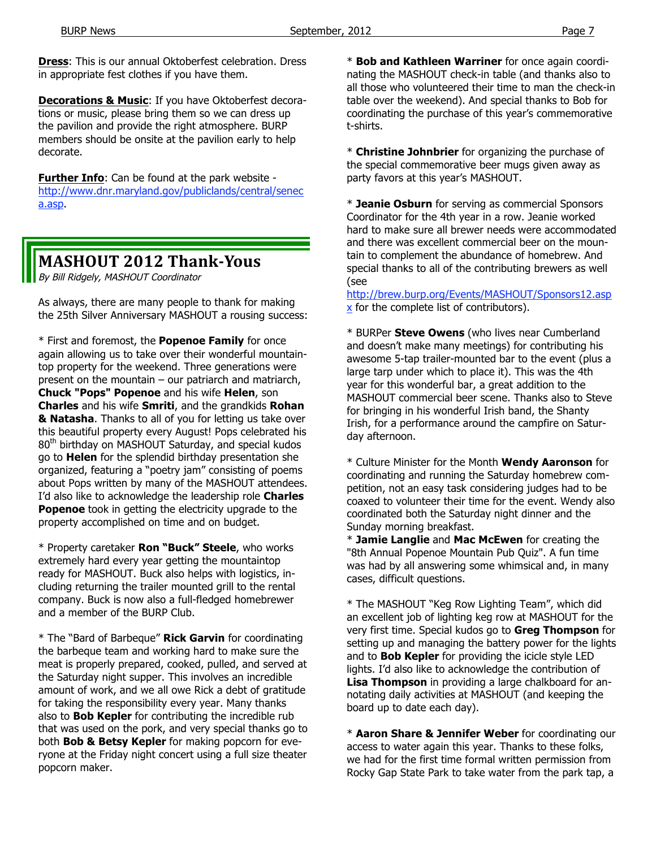**Dress**: This is our annual Oktoberfest celebration. Dress in appropriate fest clothes if you have them.

**Decorations & Music**: If you have Oktoberfest decorations or music, please bring them so we can dress up the pavilion and provide the right atmosphere. BURP members should be onsite at the pavilion early to help decorate.

**Further Info**: Can be found at the park website http://www.dnr.maryland.gov/publiclands/central/senec a.asp.

# **MASHOUT 2012 Thank‐Yous**

By Bill Ridgely, MASHOUT Coordinator

As always, there are many people to thank for making the 25th Silver Anniversary MASHOUT a rousing success:

\* First and foremost, the **Popenoe Family** for once again allowing us to take over their wonderful mountaintop property for the weekend. Three generations were present on the mountain – our patriarch and matriarch, **Chuck "Pops" Popenoe** and his wife **Helen**, son **Charles** and his wife **Smriti**, and the grandkids **Rohan & Natasha**. Thanks to all of you for letting us take over this beautiful property every August! Pops celebrated his 80<sup>th</sup> birthday on MASHOUT Saturday, and special kudos go to **Helen** for the splendid birthday presentation she organized, featuring a "poetry jam" consisting of poems about Pops written by many of the MASHOUT attendees. I'd also like to acknowledge the leadership role **Charles Popenoe** took in getting the electricity upgrade to the property accomplished on time and on budget.

\* Property caretaker **Ron "Buck" Steele**, who works extremely hard every year getting the mountaintop ready for MASHOUT. Buck also helps with logistics, including returning the trailer mounted grill to the rental company. Buck is now also a full-fledged homebrewer and a member of the BURP Club.

\* The "Bard of Barbeque" **Rick Garvin** for coordinating the barbeque team and working hard to make sure the meat is properly prepared, cooked, pulled, and served at the Saturday night supper. This involves an incredible amount of work, and we all owe Rick a debt of gratitude for taking the responsibility every year. Many thanks also to **Bob Kepler** for contributing the incredible rub that was used on the pork, and very special thanks go to both **Bob & Betsy Kepler** for making popcorn for everyone at the Friday night concert using a full size theater popcorn maker.

\* **Bob and Kathleen Warriner** for once again coordinating the MASHOUT check-in table (and thanks also to all those who volunteered their time to man the check-in table over the weekend). And special thanks to Bob for coordinating the purchase of this year's commemorative t-shirts.

\* **Christine Johnbrier** for organizing the purchase of the special commemorative beer mugs given away as party favors at this year's MASHOUT.

\* **Jeanie Osburn** for serving as commercial Sponsors Coordinator for the 4th year in a row. Jeanie worked hard to make sure all brewer needs were accommodated and there was excellent commercial beer on the mountain to complement the abundance of homebrew. And special thanks to all of the contributing brewers as well (see

http://brew.burp.org/Events/MASHOUT/Sponsors12.asp x for the complete list of contributors).

\* BURPer **Steve Owens** (who lives near Cumberland and doesn't make many meetings) for contributing his awesome 5-tap trailer-mounted bar to the event (plus a large tarp under which to place it). This was the 4th year for this wonderful bar, a great addition to the MASHOUT commercial beer scene. Thanks also to Steve for bringing in his wonderful Irish band, the Shanty Irish, for a performance around the campfire on Saturday afternoon.

\* Culture Minister for the Month **Wendy Aaronson** for coordinating and running the Saturday homebrew competition, not an easy task considering judges had to be coaxed to volunteer their time for the event. Wendy also coordinated both the Saturday night dinner and the Sunday morning breakfast.

\* **Jamie Langlie** and **Mac McEwen** for creating the "8th Annual Popenoe Mountain Pub Quiz". A fun time was had by all answering some whimsical and, in many cases, difficult questions.

\* The MASHOUT "Keg Row Lighting Team", which did an excellent job of lighting keg row at MASHOUT for the very first time. Special kudos go to **Greg Thompson** for setting up and managing the battery power for the lights and to **Bob Kepler** for providing the icicle style LED lights. I'd also like to acknowledge the contribution of **Lisa Thompson** in providing a large chalkboard for annotating daily activities at MASHOUT (and keeping the board up to date each day).

\* **Aaron Share & Jennifer Weber** for coordinating our access to water again this year. Thanks to these folks, we had for the first time formal written permission from Rocky Gap State Park to take water from the park tap, a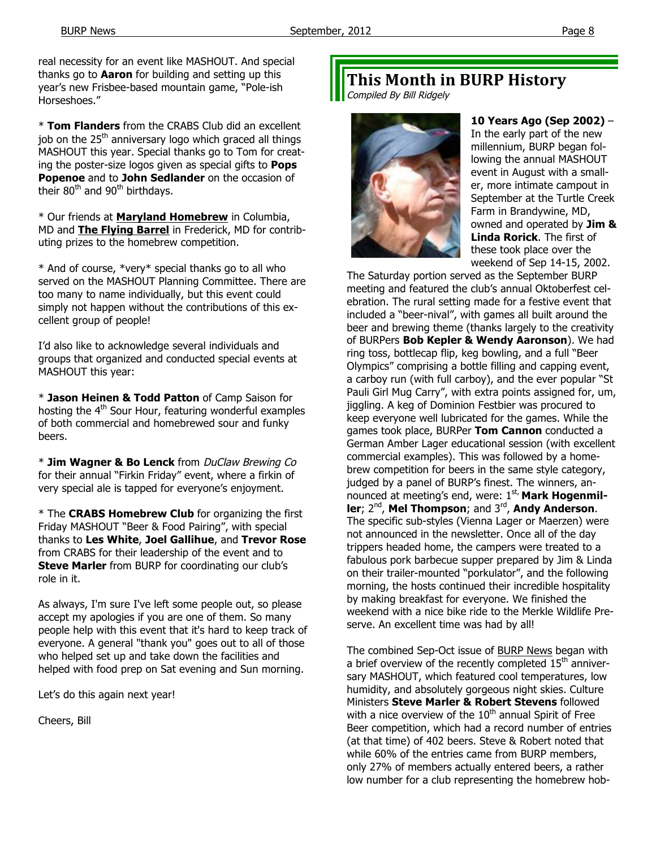real necessity for an event like MASHOUT. And special thanks go to **Aaron** for building and setting up this year's new Frisbee-based mountain game, "Pole-ish Horseshoes."

\* **Tom Flanders** from the CRABS Club did an excellent job on the  $25<sup>th</sup>$  anniversary logo which graced all things MASHOUT this year. Special thanks go to Tom for creating the poster-size logos given as special gifts to **Pops Popenoe** and to **John Sedlander** on the occasion of their  $80^{th}$  and  $90^{th}$  birthdays.

\* Our friends at **Maryland Homebrew** in Columbia, MD and **The Flying Barrel** in Frederick, MD for contributing prizes to the homebrew competition.

\* And of course, \*very\* special thanks go to all who served on the MASHOUT Planning Committee. There are too many to name individually, but this event could simply not happen without the contributions of this excellent group of people!

I'd also like to acknowledge several individuals and groups that organized and conducted special events at MASHOUT this year:

\* **Jason Heinen & Todd Patton** of Camp Saison for hosting the  $4<sup>th</sup>$  Sour Hour, featuring wonderful examples of both commercial and homebrewed sour and funky beers.

\* **Jim Wagner & Bo Lenck** from DuClaw Brewing Co for their annual "Firkin Friday" event, where a firkin of very special ale is tapped for everyone's enjoyment.

\* The **CRABS Homebrew Club** for organizing the first Friday MASHOUT "Beer & Food Pairing", with special thanks to **Les White**, **Joel Gallihue**, and **Trevor Rose**  from CRABS for their leadership of the event and to **Steve Marler** from BURP for coordinating our club's role in it.

As always, I'm sure I've left some people out, so please accept my apologies if you are one of them. So many people help with this event that it's hard to keep track of everyone. A general "thank you" goes out to all of those who helped set up and take down the facilities and helped with food prep on Sat evening and Sun morning.

Let's do this again next year!

Cheers, Bill

# **This Month in BURP History**

Compiled By Bill Ridgely



**10 Years Ago (Sep 2002)** – In the early part of the new millennium, BURP began following the annual MASHOUT event in August with a smaller, more intimate campout in September at the Turtle Creek Farm in Brandywine, MD, owned and operated by **Jim & Linda Rorick**. The first of these took place over the weekend of Sep 14-15, 2002.

The Saturday portion served as the September BURP meeting and featured the club's annual Oktoberfest celebration. The rural setting made for a festive event that included a "beer-nival", with games all built around the beer and brewing theme (thanks largely to the creativity of BURPers **Bob Kepler & Wendy Aaronson**). We had ring toss, bottlecap flip, keg bowling, and a full "Beer Olympics" comprising a bottle filling and capping event, a carboy run (with full carboy), and the ever popular "St Pauli Girl Mug Carry", with extra points assigned for, um, jiggling. A keg of Dominion Festbier was procured to keep everyone well lubricated for the games. While the games took place, BURPer **Tom Cannon** conducted a German Amber Lager educational session (with excellent commercial examples). This was followed by a homebrew competition for beers in the same style category, judged by a panel of BURP's finest. The winners, announced at meeting's end, were: 1<sup>st,</sup> Mark Hogenmiller; 2<sup>nd</sup>, Mel Thompson; and 3<sup>rd</sup>, Andy Anderson. The specific sub-styles (Vienna Lager or Maerzen) were not announced in the newsletter. Once all of the day trippers headed home, the campers were treated to a fabulous pork barbecue supper prepared by Jim & Linda on their trailer-mounted "porkulator", and the following morning, the hosts continued their incredible hospitality by making breakfast for everyone. We finished the weekend with a nice bike ride to the Merkle Wildlife Preserve. An excellent time was had by all!

The combined Sep-Oct issue of BURP News began with a brief overview of the recently completed  $15<sup>th</sup>$  anniversary MASHOUT, which featured cool temperatures, low humidity, and absolutely gorgeous night skies. Culture Ministers **Steve Marler & Robert Stevens** followed with a nice overview of the  $10<sup>th</sup>$  annual Spirit of Free Beer competition, which had a record number of entries (at that time) of 402 beers. Steve & Robert noted that while 60% of the entries came from BURP members, only 27% of members actually entered beers, a rather low number for a club representing the homebrew hob-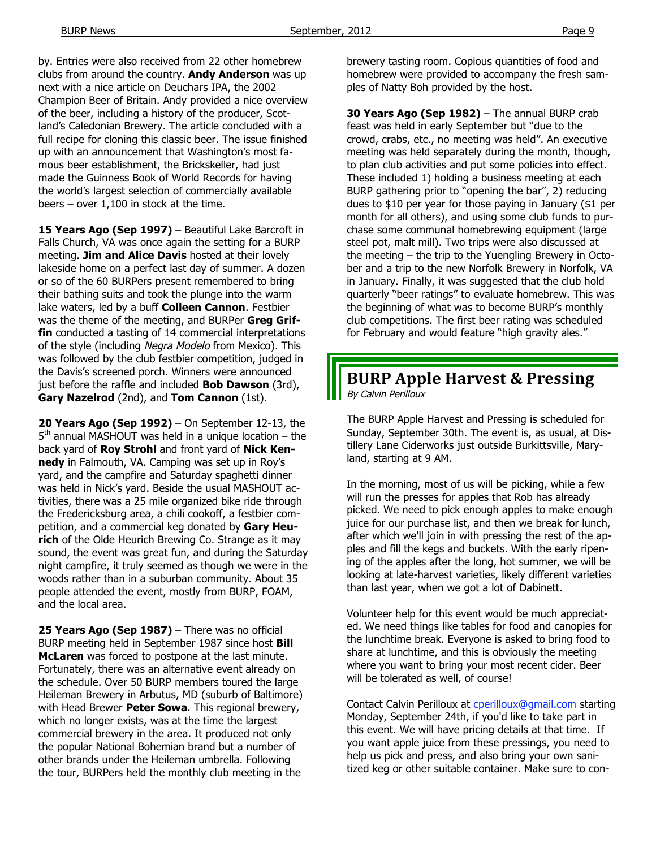by. Entries were also received from 22 other homebrew clubs from around the country. **Andy Anderson** was up next with a nice article on Deuchars IPA, the 2002 Champion Beer of Britain. Andy provided a nice overview of the beer, including a history of the producer, Scotland's Caledonian Brewery. The article concluded with a full recipe for cloning this classic beer. The issue finished up with an announcement that Washington's most famous beer establishment, the Brickskeller, had just made the Guinness Book of World Records for having the world's largest selection of commercially available beers – over 1,100 in stock at the time.

15 Years Ago (Sep 1997) - Beautiful Lake Barcroft in Falls Church, VA was once again the setting for a BURP meeting. **Jim and Alice Davis** hosted at their lovely lakeside home on a perfect last day of summer. A dozen or so of the 60 BURPers present remembered to bring their bathing suits and took the plunge into the warm lake waters, led by a buff **Colleen Cannon**. Festbier was the theme of the meeting, and BURPer **Greg Griffin** conducted a tasting of 14 commercial interpretations of the style (including Negra Modelo from Mexico). This was followed by the club festbier competition, judged in the Davis's screened porch. Winners were announced just before the raffle and included **Bob Dawson** (3rd), **Gary Nazelrod** (2nd), and **Tom Cannon** (1st).

**20 Years Ago (Sep 1992)** – On September 12-13, the  $5<sup>th</sup>$  annual MASHOUT was held in a unique location – the back yard of **Roy Strohl** and front yard of **Nick Kennedy** in Falmouth, VA. Camping was set up in Roy's yard, and the campfire and Saturday spaghetti dinner was held in Nick's yard. Beside the usual MASHOUT activities, there was a 25 mile organized bike ride through the Fredericksburg area, a chili cookoff, a festbier competition, and a commercial keg donated by **Gary Heurich** of the Olde Heurich Brewing Co. Strange as it may sound, the event was great fun, and during the Saturday night campfire, it truly seemed as though we were in the woods rather than in a suburban community. About 35 people attended the event, mostly from BURP, FOAM, and the local area.

**25 Years Ago (Sep 1987)** – There was no official BURP meeting held in September 1987 since host **Bill McLaren** was forced to postpone at the last minute. Fortunately, there was an alternative event already on the schedule. Over 50 BURP members toured the large Heileman Brewery in Arbutus, MD (suburb of Baltimore) with Head Brewer **Peter Sowa**. This regional brewery, which no longer exists, was at the time the largest commercial brewery in the area. It produced not only the popular National Bohemian brand but a number of other brands under the Heileman umbrella. Following the tour, BURPers held the monthly club meeting in the

brewery tasting room. Copious quantities of food and homebrew were provided to accompany the fresh samples of Natty Boh provided by the host.

**30 Years Ago (Sep 1982)** – The annual BURP crab feast was held in early September but "due to the crowd, crabs, etc., no meeting was held". An executive meeting was held separately during the month, though, to plan club activities and put some policies into effect. These included 1) holding a business meeting at each BURP gathering prior to "opening the bar", 2) reducing dues to \$10 per year for those paying in January (\$1 per month for all others), and using some club funds to purchase some communal homebrewing equipment (large steel pot, malt mill). Two trips were also discussed at the meeting – the trip to the Yuengling Brewery in October and a trip to the new Norfolk Brewery in Norfolk, VA in January. Finally, it was suggested that the club hold quarterly "beer ratings" to evaluate homebrew. This was the beginning of what was to become BURP's monthly club competitions. The first beer rating was scheduled for February and would feature "high gravity ales."

# **BURP Apple Harvest & Pressing**

By Calvin Perilloux

The BURP Apple Harvest and Pressing is scheduled for Sunday, September 30th. The event is, as usual, at Distillery Lane Ciderworks just outside Burkittsville, Maryland, starting at 9 AM.

In the morning, most of us will be picking, while a few will run the presses for apples that Rob has already picked. We need to pick enough apples to make enough juice for our purchase list, and then we break for lunch, after which we'll join in with pressing the rest of the apples and fill the kegs and buckets. With the early ripening of the apples after the long, hot summer, we will be looking at late-harvest varieties, likely different varieties than last year, when we got a lot of Dabinett.

Volunteer help for this event would be much appreciated. We need things like tables for food and canopies for the lunchtime break. Everyone is asked to bring food to share at lunchtime, and this is obviously the meeting where you want to bring your most recent cider. Beer will be tolerated as well, of course!

Contact Calvin Perilloux at cperilloux@gmail.com starting Monday, September 24th, if you'd like to take part in this event. We will have pricing details at that time. If you want apple juice from these pressings, you need to help us pick and press, and also bring your own sanitized keg or other suitable container. Make sure to con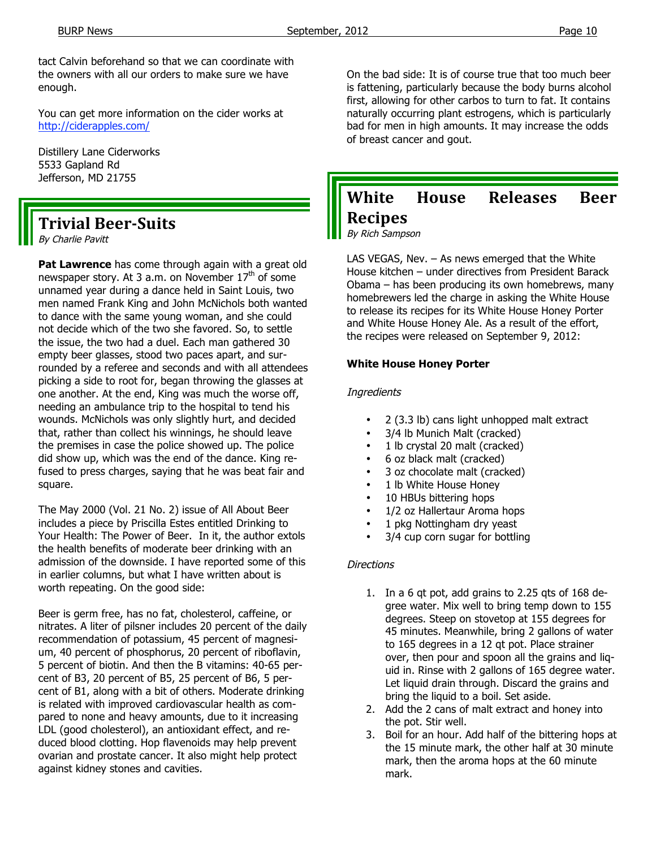tact Calvin beforehand so that we can coordinate with the owners with all our orders to make sure we have enough.

You can get more information on the cider works at http://ciderapples.com/

Distillery Lane Ciderworks 5533 Gapland Rd Jefferson, MD 21755

# **Trivial Beer‐Suits**

By Charlie Pavitt

**Pat Lawrence** has come through again with a great old newspaper story. At 3 a.m. on November  $17<sup>th</sup>$  of some unnamed year during a dance held in Saint Louis, two men named Frank King and John McNichols both wanted to dance with the same young woman, and she could not decide which of the two she favored. So, to settle the issue, the two had a duel. Each man gathered 30 empty beer glasses, stood two paces apart, and surrounded by a referee and seconds and with all attendees picking a side to root for, began throwing the glasses at one another. At the end, King was much the worse off, needing an ambulance trip to the hospital to tend his wounds. McNichols was only slightly hurt, and decided that, rather than collect his winnings, he should leave the premises in case the police showed up. The police did show up, which was the end of the dance. King refused to press charges, saying that he was beat fair and square.

The May 2000 (Vol. 21 No. 2) issue of All About Beer includes a piece by Priscilla Estes entitled Drinking to Your Health: The Power of Beer. In it, the author extols the health benefits of moderate beer drinking with an admission of the downside. I have reported some of this in earlier columns, but what I have written about is worth repeating. On the good side:

Beer is germ free, has no fat, cholesterol, caffeine, or nitrates. A liter of pilsner includes 20 percent of the daily recommendation of potassium, 45 percent of magnesium, 40 percent of phosphorus, 20 percent of riboflavin, 5 percent of biotin. And then the B vitamins: 40-65 percent of B3, 20 percent of B5, 25 percent of B6, 5 percent of B1, along with a bit of others. Moderate drinking is related with improved cardiovascular health as compared to none and heavy amounts, due to it increasing LDL (good cholesterol), an antioxidant effect, and reduced blood clotting. Hop flavenoids may help prevent ovarian and prostate cancer. It also might help protect against kidney stones and cavities.

On the bad side: It is of course true that too much beer is fattening, particularly because the body burns alcohol first, allowing for other carbos to turn to fat. It contains naturally occurring plant estrogens, which is particularly bad for men in high amounts. It may increase the odds of breast cancer and gout.

# **White House Releases Beer Recipes**

By Rich Sampson

LAS VEGAS, Nev. – As news emerged that the White House kitchen – under directives from President Barack Obama – has been producing its own homebrews, many homebrewers led the charge in asking the White House to release its recipes for its White House Honey Porter and White House Honey Ale. As a result of the effort, the recipes were released on September 9, 2012:

#### **White House Honey Porter**

#### **Ingredients**

- 2 (3.3 lb) cans light unhopped malt extract
- 3/4 lb Munich Malt (cracked)
- 1 lb crystal 20 malt (cracked)
- 6 oz black malt (cracked)
- 3 oz chocolate malt (cracked)
- 1 lb White House Honey
- 10 HBUs bittering hops
- 1/2 oz Hallertaur Aroma hops
- 1 pkg Nottingham dry yeast
- 3/4 cup corn sugar for bottling

## **Directions**

- 1. In a 6 qt pot, add grains to 2.25 qts of 168 degree water. Mix well to bring temp down to 155 degrees. Steep on stovetop at 155 degrees for 45 minutes. Meanwhile, bring 2 gallons of water to 165 degrees in a 12 qt pot. Place strainer over, then pour and spoon all the grains and liquid in. Rinse with 2 gallons of 165 degree water. Let liquid drain through. Discard the grains and bring the liquid to a boil. Set aside.
- 2. Add the 2 cans of malt extract and honey into the pot. Stir well.
- 3. Boil for an hour. Add half of the bittering hops at the 15 minute mark, the other half at 30 minute mark, then the aroma hops at the 60 minute mark.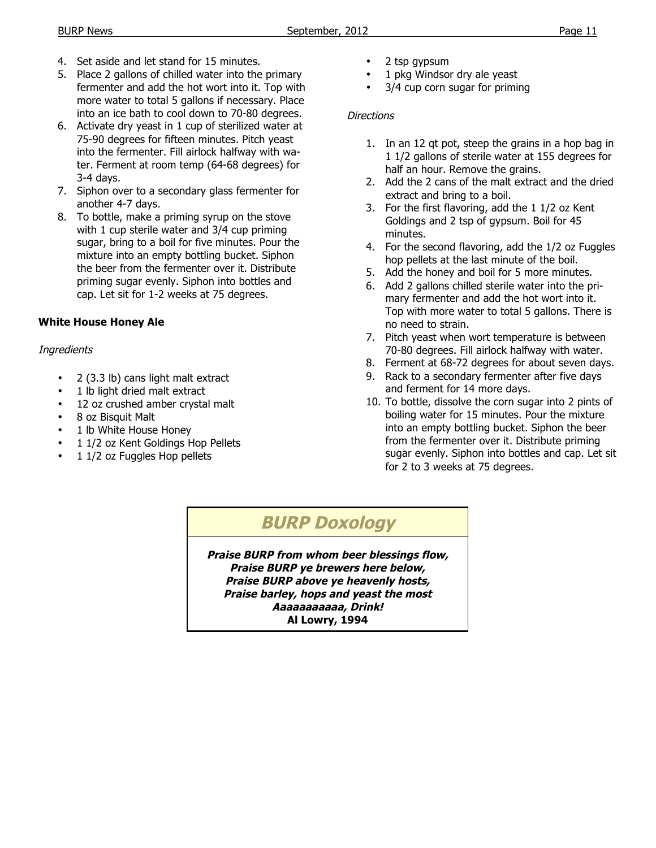- 4. Set aside and let stand for 15 minutes.
- 5. Place 2 gallons of chilled water into the primary fermenter and add the hot wort into it. Top with more water to total 5 gallons if necessary. Place into an ice bath to cool down to 70-80 degrees.
- 6. Activate dry yeast in 1 cup of sterilized water at 75-90 degrees for fifteen minutes. Pitch yeast into the fermenter. Fill airlock halfway with water. Ferment at room temp (64-68 degrees) for 3-4 days.
- 7. Siphon over to a secondary glass fermenter for another 4-7 days.
- 8. To bottle, make a priming syrup on the stove with 1 cup sterile water and 3/4 cup priming sugar, bring to a boil for five minutes. Pour the mixture into an empty bottling bucket. Siphon the beer from the fermenter over it. Distribute priming sugar evenly. Siphon into bottles and cap. Let sit for 1-2 weeks at 75 degrees.

## **White House Honey Ale**

## **Ingredients**

- 2 (3.3 lb) cans light malt extract
- 1 lb light dried malt extract
- 12 oz crushed amber crystal malt
- 8 oz Bisquit Malt
- 1 lb White House Honey
- 1 1/2 oz Kent Goldings Hop Pellets
- 1 1/2 oz Fuggles Hop pellets
- 2 tsp gypsum
- 1 pkg Windsor dry ale yeast
	- 3/4 cup corn sugar for priming

## **Directions**

- 1. In an 12 qt pot, steep the grains in a hop bag in 1 1/2 gallons of sterile water at 155 degrees for half an hour. Remove the grains.
- 2. Add the 2 cans of the malt extract and the dried extract and bring to a boil.
- 3. For the first flavoring, add the 1 1/2 oz Kent Goldings and 2 tsp of gypsum. Boil for 45 minutes.
- 4. For the second flavoring, add the 1/2 oz Fuggles hop pellets at the last minute of the boil.
- 5. Add the honey and boil for 5 more minutes.
- 6. Add 2 gallons chilled sterile water into the primary fermenter and add the hot wort into it. Top with more water to total 5 gallons. There is no need to strain.
- 7. Pitch yeast when wort temperature is between 70-80 degrees. Fill airlock halfway with water.
- 8. Ferment at 68-72 degrees for about seven days.
- 9. Rack to a secondary fermenter after five days and ferment for 14 more days.
- 10. To bottle, dissolve the corn sugar into 2 pints of boiling water for 15 minutes. Pour the mixture into an empty bottling bucket. Siphon the beer from the fermenter over it. Distribute priming sugar evenly. Siphon into bottles and cap. Let sit for 2 to 3 weeks at 75 degrees.

# **BURP Doxology**

**Praise BURP from whom beer blessings flow, Praise BURP ye brewers here below, Praise BURP above ye heavenly hosts, Praise barley, hops and yeast the most Aaaaaaaaaaa, Drink! Al Lowry, 1994**